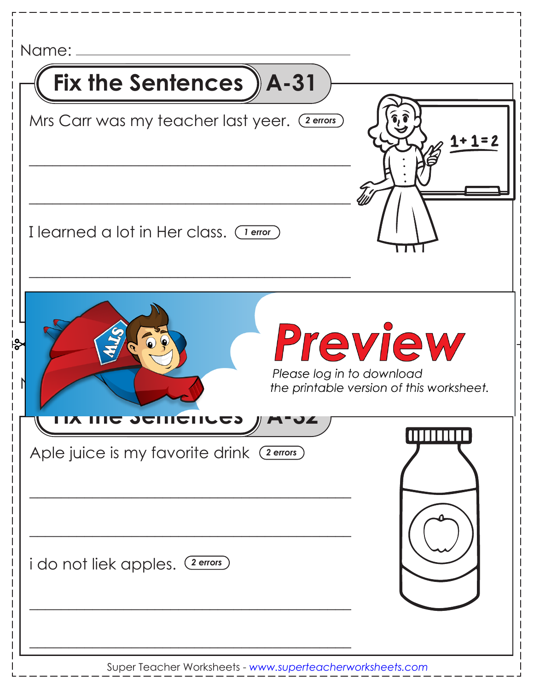| Name:                                         |                                                     |
|-----------------------------------------------|-----------------------------------------------------|
| Fix the Sentences ) A-31                      |                                                     |
| Mrs Carr was my teacher last yeer. (2 errors) |                                                     |
| I learned a lot in Her class. (Terror)        |                                                     |
| Please log in to download                     | Preview<br>the printable version of this worksheet. |
| Aple juice is my favorite drink (2 errors)    |                                                     |
| i do not liek apples. (2 errors)              |                                                     |
| جا<br><b>COMPUTED THE STIL AT</b><br>II M-94  |                                                     |

Super Teacher Worksheets - *www.superteacherworksheets.com*

 $\mathsf{l}$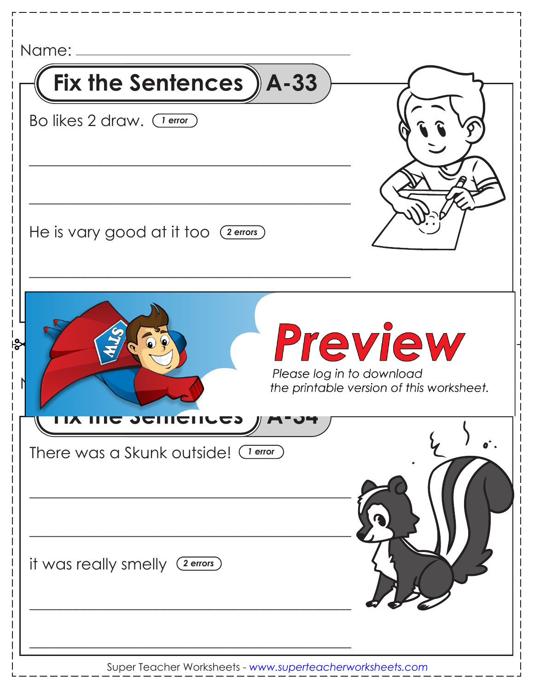| Name: _____                                               |                                                     |
|-----------------------------------------------------------|-----------------------------------------------------|
| Fix the Sentences $A - 33$                                |                                                     |
| Bo likes 2 draw. (1 error)                                |                                                     |
| He is vary good at it too (2 errors)                      |                                                     |
| ∱م<br>Please log in to download<br><b>COMPUTE SURVEY</b>  | Preview<br>the printable version of this worksheet. |
| There was a Skunk outside! (Terror)                       |                                                     |
| it was really smelly (2 errors)                           |                                                     |
| Super Teacher Worksheets - www.superteacherworksheets.com |                                                     |

 $-1$ 

Super Teacher Worksheets - *www.superteacherworksheets.com*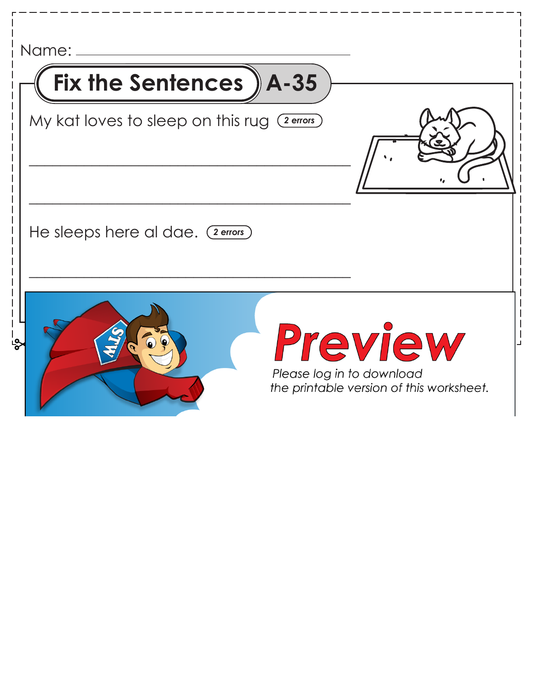| Name: ____                                   |                                                                                  |
|----------------------------------------------|----------------------------------------------------------------------------------|
| Fix the Sentences ) A-35                     |                                                                                  |
| My kat loves to sleep on this rug (2 errors) |                                                                                  |
| He sleeps here al dae. (2 errors)            |                                                                                  |
|                                              | Preview<br>Please log in to download<br>the printable version of this worksheet. |